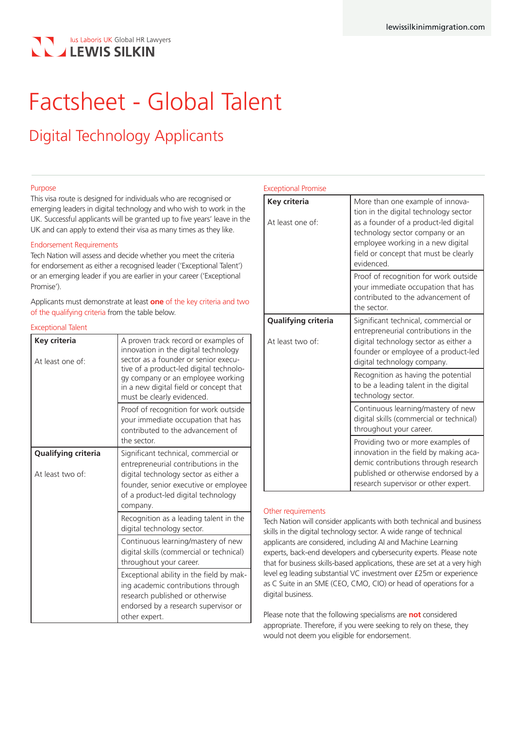# lus Laboris UK Global HR Lawyers **LEWIS SILKIN**

# Factsheet - Global Talent

# Digital Technology Applicants

#### Purpose

This visa route is designed for individuals who are recognised or emerging leaders in digital technology and who wish to work in the UK. Successful applicants will be granted up to five years' leave in the UK and can apply to extend their visa as many times as they like.

#### Endorsement Requirements

Tech Nation will assess and decide whether you meet the criteria for endorsement as either a recognised leader ('Exceptional Talent') or an emerging leader if you are earlier in your career ('Exceptional Promise').

Applicants must demonstrate at least **one** of the key criteria and two of the qualifying criteria from the table below.

#### Exceptional Talent

| Key criteria<br>At least one of:        | A proven track record or examples of<br>innovation in the digital technology<br>sector as a founder or senior execu-<br>tive of a product-led digital technolo-<br>gy company or an employee working<br>in a new digital field or concept that<br>must be clearly evidenced. |
|-----------------------------------------|------------------------------------------------------------------------------------------------------------------------------------------------------------------------------------------------------------------------------------------------------------------------------|
|                                         | Proof of recognition for work outside<br>your immediate occupation that has<br>contributed to the advancement of<br>the sector.                                                                                                                                              |
| Qualifying criteria<br>At least two of: | Significant technical, commercial or<br>entrepreneurial contributions in the<br>digital technology sector as either a<br>founder, senior executive or employee<br>of a product-led digital technology<br>company.                                                            |
|                                         | Recognition as a leading talent in the<br>digital technology sector.                                                                                                                                                                                                         |
|                                         | Continuous learning/mastery of new<br>digital skills (commercial or technical)<br>throughout your career.                                                                                                                                                                    |
|                                         | Exceptional ability in the field by mak-<br>ing academic contributions through<br>research published or otherwise<br>endorsed by a research supervisor or<br>other expert.                                                                                                   |

#### Exceptional Promise

| Key criteria<br>At least one of:        | More than one example of innova-<br>tion in the digital technology sector<br>as a founder of a product-led digital<br>technology sector company or an<br>employee working in a new digital<br>field or concept that must be clearly<br>evidenced. |
|-----------------------------------------|---------------------------------------------------------------------------------------------------------------------------------------------------------------------------------------------------------------------------------------------------|
|                                         | Proof of recognition for work outside<br>your immediate occupation that has<br>contributed to the advancement of<br>the sector.                                                                                                                   |
| Qualifying criteria<br>At least two of: | Significant technical, commercial or<br>entrepreneurial contributions in the<br>digital technology sector as either a<br>founder or employee of a product-led<br>digital technology company.                                                      |
|                                         | Recognition as having the potential<br>to be a leading talent in the digital<br>technology sector.                                                                                                                                                |
|                                         | Continuous learning/mastery of new<br>digital skills (commercial or technical)<br>throughout your career.                                                                                                                                         |
|                                         | Providing two or more examples of<br>innovation in the field by making aca-<br>demic contributions through research<br>published or otherwise endorsed by a<br>research supervisor or other expert.                                               |

#### Other requirements

Tech Nation will consider applicants with both technical and business skills in the digital technology sector. A wide range of technical applicants are considered, including AI and Machine Learning experts, back-end developers and cybersecurity experts. Please note that for business skills-based applications, these are set at a very high level eg leading substantial VC investment over £25m or experience as C Suite in an SME (CEO, CMO, CIO) or head of operations for a digital business.

Please note that the following specialisms are **not** considered appropriate. Therefore, if you were seeking to rely on these, they would not deem you eligible for endorsement.